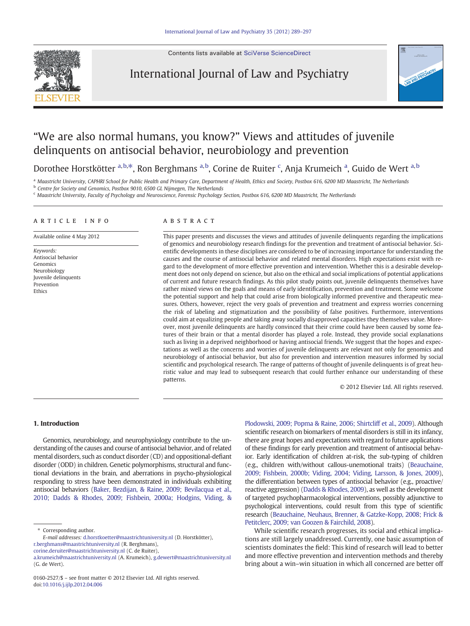Contents lists available at [SciVerse ScienceDirect](http://www.sciencedirect.com/science/journal/01602527)



# International Journal of Law and Psychiatry



# "We are also normal humans, you know?" Views and attitudes of juvenile delinquents on antisocial behavior, neurobiology and prevention

Dorothee Horstkötter <sup>a, b,\*</sup>, Ron Berghmans <sup>a, b</sup>, Corine de Ruiter <sup>c</sup>, Anja Krumeich <sup>a</sup>, Guido de Wert <sup>a, b</sup>

a Maastricht University, CAPHRI School for Public Health and Primary Care, Department of Health, Ethics and Society, Postbox 616, 6200 MD Maastricht, The Netherlands <sup>b</sup> Centre for Society and Genomics, Postbox 9010, 6500 GL Nijmegen, The Netherlands

<sup>c</sup> Maastricht University, Faculty of Psychology and Neuroscience, Forensic Psychology Section, Postbox 616, 6200 MD Maastricht, The Netherlands

## article info abstract

Available online 4 May 2012

Keywords: Antisocial behavior Genomics Neurobiology Juvenile delinquents Prevention Ethics

This paper presents and discusses the views and attitudes of juvenile delinquents regarding the implications of genomics and neurobiology research findings for the prevention and treatment of antisocial behavior. Scientific developments in these disciplines are considered to be of increasing importance for understanding the causes and the course of antisocial behavior and related mental disorders. High expectations exist with regard to the development of more effective prevention and intervention. Whether this is a desirable development does not only depend on science, but also on the ethical and social implications of potential applications of current and future research findings. As this pilot study points out, juvenile delinquents themselves have rather mixed views on the goals and means of early identification, prevention and treatment. Some welcome the potential support and help that could arise from biologically informed preventive and therapeutic measures. Others, however, reject the very goals of prevention and treatment and express worries concerning the risk of labeling and stigmatization and the possibility of false positives. Furthermore, interventions could aim at equalizing people and taking away socially disapproved capacities they themselves value. Moreover, most juvenile delinquents are hardly convinced that their crime could have been caused by some features of their brain or that a mental disorder has played a role. Instead, they provide social explanations such as living in a deprived neighborhood or having antisocial friends. We suggest that the hopes and expectations as well as the concerns and worries of juvenile delinquents are relevant not only for genomics and neurobiology of antisocial behavior, but also for prevention and intervention measures informed by social scientific and psychological research. The range of patterns of thought of juvenile delinquents is of great heuristic value and may lead to subsequent research that could further enhance our understanding of these patterns.

© 2012 Elsevier Ltd. All rights reserved.

# 1. Introduction

Genomics, neurobiology, and neurophysiology contribute to the understanding of the causes and course of antisocial behavior, and of related mental disorders, such as conduct disorder (CD) and oppositional-defiant disorder (ODD) in children. Genetic polymorphisms, structural and functional deviations in the brain, and aberrations in psycho-physiological responding to stress have been demonstrated in individuals exhibiting antisocial behaviors ([Baker, Bezdijan, & Raine, 2009; Bevilacqua et al.,](#page-7-0) [2010; Dadds & Rhodes, 2009; Fishbein, 2000a; Hodgins, Viding, &](#page-7-0)

Corresponding author. E-mail addresses: [d.horstkoetter@maastrichtuniversity.nl](mailto:d.horstkoetter@maastrichtuniversity.nl) (D. Horstkötter), [r.berghmans@maastrichtuniversity.nl](mailto:r.berghmans@maastrichtuniversity.nl) (R. Berghmans),

[corine.deruiter@maastrichtuniversity.nl](mailto:corine.deruiter@maastrichtuniversity.nl) (C. de Ruiter),

[Plodowski, 2009; Popma & Raine, 2006; Shirtcliff et al., 2009](#page-7-0)). Although scientific research on biomarkers of mental disorders is still in its infancy, there are great hopes and expectations with regard to future applications of these findings for early prevention and treatment of antisocial behavior. Early identification of children at-risk, the sub-typing of children (e.g., children with/without callous-unemotional traits) [\(Beauchaine,](#page-7-0) [2009; Fishbein, 2000b; Viding, 2004;](#page-7-0) Viding, Larsson, & Jones, 2009), the differentiation between types of antisocial behavior (e.g., proactive/ reactive aggression) ([Dadds & Rhodes, 2009](#page-7-0)), as well as the development of targeted psychopharmacological interventions, possibly adjunctive to psychological interventions, could result from this type of scientific research [\(Beauchaine, Neuhaus, Brenner, & Gatzke-Kopp, 2008; Frick &](#page-7-0) [Petitclerc, 2009; van Goozen & Fairchild, 2008\)](#page-7-0).

While scientific research progresses, its social and ethical implications are still largely unaddressed. Currently, one basic assumption of scientists dominates the field: This kind of research will lead to better and more effective prevention and intervention methods and thereby bring about a win–win situation in which all concerned are better off

[a.krumeich@maastrichtuniversity.nl](mailto:a.krumeich@maastrichtuniversity.nl) (A. Krumeich), [g.dewert@maastrichtuniversity.nl](mailto:g.dewert@maastrichtuniversity.nl) (G. de Wert).

<sup>0160-2527/\$</sup> – see front matter © 2012 Elsevier Ltd. All rights reserved. doi:[10.1016/j.ijlp.2012.04.006](http://dx.doi.org/10.1016/j.ijlp.2012.04.006)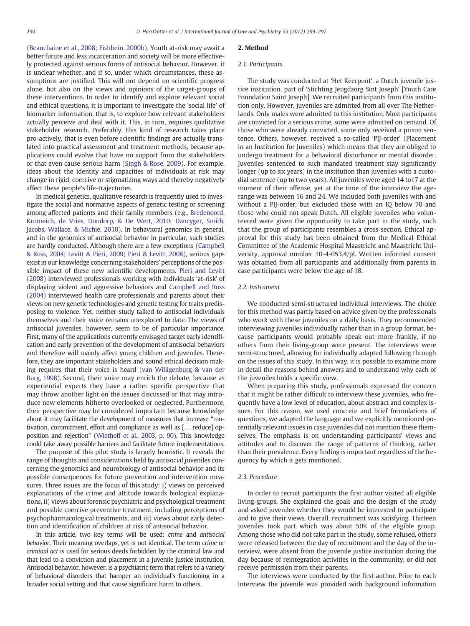[\(Beauchaine et al., 2008; Fishbein, 2000b](#page-7-0)). Youth at-risk may await a better future and less incarceration and society will be more effectively protected against serious forms of antisocial behavior. However, it is unclear whether, and if so, under which circumstances, these assumptions are justified. This will not depend on scientific progress alone, but also on the views and opinions of the target-groups of these interventions. In order to identify and explore relevant social and ethical questions, it is important to investigate the 'social life' of biomarker information, that is, to explore how relevant stakeholders actually perceive and deal with it. This, in turn, requires qualitative stakeholder research. Preferably, this kind of research takes place pro-actively, that is even before scientific findings are actually translated into practical assessment and treatment methods, because applications could evolve that have no support from the stakeholders or that even cause serious harm ([Singh & Rose, 2009](#page-8-0)). For example, ideas about the identity and capacities of individuals at risk may change in rigid, coercive or stigmatizing ways and thereby negatively affect these people's life-trajectories.

In medical genetics, qualitative research is frequently used to investigate the social and normative aspects of genetic testing or screening among affected patients and their family members (e.g., [Bredenoord,](#page-7-0) [Krumeich, de Vries, Dondorp, & De Wert, 2010; Dancyger, Smith,](#page-7-0) [Jacobs, Wallace, & Michie, 2010\)](#page-7-0). In behavioral genomics in general, and in the genomics of antisocial behavior in particular, such studies are hardly conducted. Although there are a few exceptions [\(Campbell](#page-7-0) [& Ross, 2004; Levitt & Pieri, 2009; Pieri & Levitt, 2008](#page-7-0)), serious gaps exist in our knowledge concerning stakeholders' perceptions of the possible impact of these new scientific developments. [Pieri and Levitt](#page-8-0) [\(2008\)](#page-8-0) interviewed professionals working with individuals 'at-risk' of displaying violent and aggressive behaviors and [Campbell and Ross](#page-7-0) [\(2004\)](#page-7-0) interviewed health care professionals and parents about their views on new genetic technologies and genetic testing for traits predisposing to violence. Yet, neither study talked to antisocial individuals themselves and their voice remains unexplored to date. The views of antisocial juveniles, however, seem to be of particular importance. First, many of the applications currently envisaged target early identification and early prevention of the development of antisocial behaviors and therefore will mainly affect young children and juveniles. Therefore, they are important stakeholders and sound ethical decision making requires that their voice is heard [\(van Willigenburg & van der](#page-8-0) [Burg, 1998](#page-8-0)). Second, their voice may enrich the debate, because as experiential experts they have a rather specific perspective that may throw another light on the issues discussed or that may introduce new elements hitherto overlooked or neglected. Furthermore, their perspective may be considered important because knowledge about it may facilitate the development of measures that increase "motivation, commitment, effort and compliance as well as [… reduce] opposition and rejection" [\(Wiethoff et al., 2003, p. 90](#page-8-0)). This knowledge could take away possible barriers and facilitate future implementations.

The purpose of this pilot study is largely heuristic. It reveals the range of thoughts and considerations held by antisocial juveniles concerning the genomics and neurobiology of antisocial behavior and its possible consequences for future prevention and intervention measures. Three issues are the focus of this study: i) views on perceived explanations of the crime and attitude towards biological explanations, ii) views about forensic psychiatric and psychological treatment and possible coercive preventive treatment, including perceptions of psychopharmacological treatments, and iii) views about early detection and identification of children at risk of antisocial behavior.

In this article, two key terms will be used: crime and antisocial behavior. Their meaning overlaps, yet is not identical. The term crime or criminal act is used for serious deeds forbidden by the criminal law and that lead to a conviction and placement in a juvenile justice institution. Antisocial behavior, however, is a psychiatric term that refers to a variety of behavioral disorders that hamper an individual's functioning in a broader social setting and that cause significant harm to others.

### 2. Method

#### 2.1. Participants

The study was conducted at 'Het Keerpunt', a Dutch juvenile justice institution, part of 'Stichting Jeugdzorg Sint Joseph' [Youth Care Foundation Saint Joseph]. We recruited participants from this institution only. However, juveniles are admitted from all over The Netherlands. Only males were admitted to this institution. Most participants are convicted for a serious crime, some were admitted on remand. Of those who were already convicted, some only received a prison sentence. Others, however, received a so-called 'PIJ-order' (Placement in an Institution for Juveniles) which means that they are obliged to undergo treatment for a behavioral disturbance or mental disorder. Juveniles sentenced to such mandated treatment stay significantly longer (up to six years) in the institution than juveniles with a custodial sentence (up to two years). All juveniles were aged 14 to17 at the moment of their offense, yet at the time of the interview the agerange was between 16 and 24. We included both juveniles with and without a PIJ-order, but excluded those with an IQ below 70 and those who could not speak Dutch. All eligible juveniles who volunteered were given the opportunity to take part in the study, such that the group of participants resembles a cross-section. Ethical approval for this study has been obtained from the Medical Ethical Committee of the Academic Hospital Maastricht and Maastricht University, approval number 10-4-053.4/pl. Written informed consent was obtained from all participants and additionally from parents in case participants were below the age of 18.

## 2.2. Instrument

We conducted semi-structured individual interviews. The choice for this method was partly based on advice given by the professionals who work with these juveniles on a daily basis. They recommended interviewing juveniles individually rather than in a group format, because participants would probably speak out more frankly, if no others from their living-group were present. The interviews were semi-structured, allowing for individually adapted following through on the issues of this study. In this way, it is possible to examine more in detail the reasons behind answers and to understand why each of the juveniles holds a specific view.

When preparing this study, professionals expressed the concern that it might be rather difficult to interview these juveniles, who frequently have a low level of education, about abstract and complex issues. For this reason, we used concrete and brief formulations of questions, we adapted the language and we explicitly mentioned potentially relevant issues in case juveniles did not mention these themselves. The emphasis is on understanding participants' views and attitudes and to discover the range of patterns of thinking, rather than their prevalence. Every finding is important regardless of the frequency by which it gets mentioned.

#### 2.3. Procedure

In order to recruit participants the first author visited all eligible living-groups. She explained the goals and the design of the study and asked juveniles whether they would be interested to participate and to give their views. Overall, recruitment was satisfying. Thirteen juveniles took part which was about 50% of the eligible group. Among those who did not take part in the study, some refused, others were released between the day of recruitment and the day of the interview, were absent from the juvenile justice institution during the day because of reintegration activities in the community, or did not receive permission from their parents.

The interviews were conducted by the first author. Prior to each interview the juvenile was provided with background information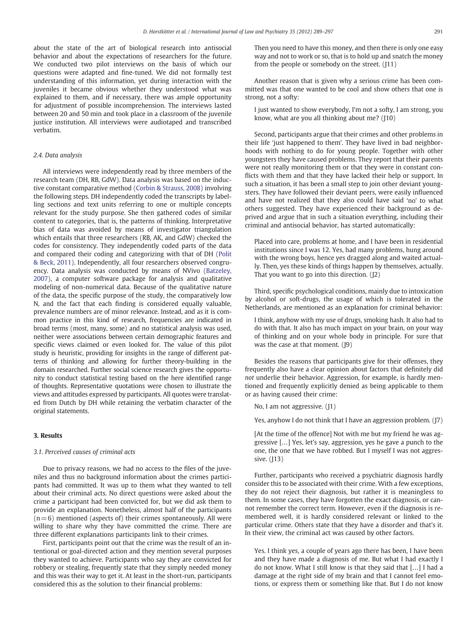about the state of the art of biological research into antisocial behavior and about the expectations of researchers for the future. We conducted two pilot interviews on the basis of which our questions were adapted and fine-tuned. We did not formally test understanding of this information, yet during interaction with the juveniles it became obvious whether they understood what was explained to them, and if necessary, there was ample opportunity for adjustment of possible incomprehension. The interviews lasted between 20 and 50 min and took place in a classroom of the juvenile justice institution. All interviews were audiotaped and transcribed verbatim.

# 2.4. Data analysis

All interviews were independently read by three members of the research team (DH, RB, GdW). Data analysis was based on the inductive constant comparative method [\(Corbin & Strauss, 2008](#page-7-0)) involving the following steps. DH independently coded the transcripts by labelling sections and text units referring to one or multiple concepts relevant for the study purpose. She then gathered codes of similar content to categories, that is, the patterns of thinking. Interpretative bias of data was avoided by means of investigator triangulation which entails that three researchers (RB, AK, and GdW) checked the codes for consistency. They independently coded parts of the data and compared their coding and categorizing with that of DH [\(Polit](#page-8-0) [& Beck, 2011](#page-8-0)). Independently, all four researchers observed congruency. Data analysis was conducted by means of NVivo [\(Batzeley,](#page-7-0) [2007\)](#page-7-0), a computer software package for analysis and qualitative modeling of non-numerical data. Because of the qualitative nature of the data, the specific purpose of the study, the comparatively low N, and the fact that each finding is considered equally valuable, prevalence numbers are of minor relevance. Instead, and as it is common practice in this kind of research, frequencies are indicated in broad terms (most, many, some) and no statistical analysis was used, neither were associations between certain demographic features and specific views claimed or even looked for. The value of this pilot study is heuristic, providing for insights in the range of different patterns of thinking and allowing for further theory-building in the domain researched. Further social science research gives the opportunity to conduct statistical testing based on the here identified range of thoughts. Representative quotations were chosen to illustrate the views and attitudes expressed by participants. All quotes were translated from Dutch by DH while retaining the verbatim character of the original statements.

# 3. Results

# 3.1. Perceived causes of criminal acts

Due to privacy reasons, we had no access to the files of the juveniles and thus no background information about the crimes participants had committed. It was up to them what they wanted to tell about their criminal acts. No direct questions were asked about the crime a participant had been convicted for, but we did ask them to provide an explanation. Nonetheless, almost half of the participants  $(n= 6)$  mentioned (aspects of) their crimes spontaneously. All were willing to share why they have committed the crime. There are three different explanations participants link to their crimes.

First, participants point out that the crime was the result of an intentional or goal-directed action and they mention several purposes they wanted to achieve. Participants who say they are convicted for robbery or stealing, frequently state that they simply needed money and this was their way to get it. At least in the short-run, participants considered this as the solution to their financial problems:

Then you need to have this money, and then there is only one easy way and not to work or so, that is to hold up and snatch the money from the people or somebody on the street. (J11)

Another reason that is given why a serious crime has been committed was that one wanted to be cool and show others that one is strong, not a softy:

I just wanted to show everybody, I'm not a softy, I am strong, you know, what are you all thinking about me? (J10)

Second, participants argue that their crimes and other problems in their life 'just happened to them'. They have lived in bad neighborhoods with nothing to do for young people. Together with other youngsters they have caused problems. They report that their parents were not really monitoring them or that they were in constant conflicts with them and that they have lacked their help or support. In such a situation, it has been a small step to join other deviant youngsters. They have followed their deviant peers, were easily influenced and have not realized that they also could have said 'no' to what others suggested. They have experienced their background as deprived and argue that in such a situation everything, including their criminal and antisocial behavior, has started automatically:

Placed into care, problems at home, and I have been in residential institutions since I was 12. Yes, had many problems, hung around with the wrong boys, hence yes dragged along and waited actually. Then, yes these kinds of things happen by themselves, actually. That you want to go into this direction. (J2)

Third, specific psychological conditions, mainly due to intoxication by alcohol or soft-drugs, the usage of which is tolerated in the Netherlands, are mentioned as an explanation for criminal behavior:

I think, anyhow with my use of drugs, smoking hash. It also had to do with that. It also has much impact on your brain, on your way of thinking and on your whole body in principle. For sure that was the case at that moment. (J9)

Besides the reasons that participants give for their offenses, they frequently also have a clear opinion about factors that definitely did not underlie their behavior. Aggression, for example, is hardly mentioned and frequently explicitly denied as being applicable to them or as having caused their crime:

No, I am not aggressive. (J1)

Yes, anyhow I do not think that I have an aggression problem. (J7)

[At the time of the offence] Not with me but my friend he was aggressive […] Yes, let's say, aggression, yes he gave a punch to the one, the one that we have robbed. But I myself I was not aggressive. (113)

Further, participants who received a psychiatric diagnosis hardly consider this to be associated with their crime. With a few exceptions, they do not reject their diagnosis, but rather it is meaningless to them. In some cases, they have forgotten the exact diagnosis, or cannot remember the correct term. However, even if the diagnosis is remembered well, it is hardly considered relevant or linked to the particular crime. Others state that they have a disorder and that's it. In their view, the criminal act was caused by other factors.

Yes. I think yes, a couple of years ago there has been, I have been and they have made a diagnosis of me. But what I had exactly I do not know. What I still know is that they said that […] I had a damage at the right side of my brain and that I cannot feel emotions, or express them or something like that. But I do not know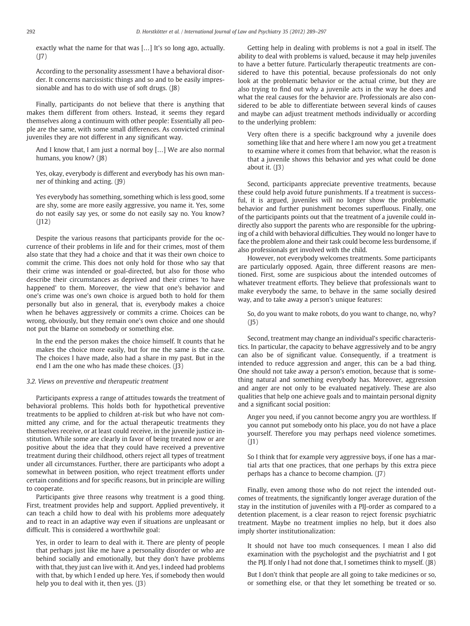exactly what the name for that was […] It's so long ago, actually.  $(17)$ 

According to the personality assessment I have a behavioral disorder. It concerns narcissistic things and so and to be easily impressionable and has to do with use of soft drugs. (J8)

Finally, participants do not believe that there is anything that makes them different from others. Instead, it seems they regard themselves along a continuum with other people: Essentially all people are the same, with some small differences. As convicted criminal juveniles they are not different in any significant way.

And I know that, I am just a normal boy […] We are also normal humans, you know? (J8)

Yes, okay, everybody is different and everybody has his own manner of thinking and acting. (J9)

Yes everybody has something, something which is less good, some are shy, some are more easily aggressive, you name it. Yes, some do not easily say yes, or some do not easily say no. You know?  $(112)$ 

Despite the various reasons that participants provide for the occurrence of their problems in life and for their crimes, most of them also state that they had a choice and that it was their own choice to commit the crime. This does not only hold for those who say that their crime was intended or goal-directed, but also for those who describe their circumstances as deprived and their crimes 'to have happened' to them. Moreover, the view that one's behavior and one's crime was one's own choice is argued both to hold for them personally but also in general, that is, everybody makes a choice when he behaves aggressively or commits a crime. Choices can be wrong, obviously, but they remain one's own choice and one should not put the blame on somebody or something else.

In the end the person makes the choice himself. It counts that he makes the choice more easily, but for me the same is the case. The choices I have made, also had a share in my past. But in the end I am the one who has made these choices. (J3)

# 3.2. Views on preventive and therapeutic treatment

Participants express a range of attitudes towards the treatment of behavioral problems. This holds both for hypothetical preventive treatments to be applied to children at-risk but who have not committed any crime, and for the actual therapeutic treatments they themselves receive, or at least could receive, in the juvenile justice institution. While some are clearly in favor of being treated now or are positive about the idea that they could have received a preventive treatment during their childhood, others reject all types of treatment under all circumstances. Further, there are participants who adopt a somewhat in between position, who reject treatment efforts under certain conditions and for specific reasons, but in principle are willing to cooperate.

Participants give three reasons why treatment is a good thing. First, treatment provides help and support. Applied preventively, it can teach a child how to deal with his problems more adequately and to react in an adaptive way even if situations are unpleasant or difficult. This is considered a worthwhile goal:

Yes, in order to learn to deal with it. There are plenty of people that perhaps just like me have a personality disorder or who are behind socially and emotionally, but they don't have problems with that, they just can live with it. And yes, I indeed had problems with that, by which I ended up here. Yes, if somebody then would help you to deal with it, then yes. (13)

Getting help in dealing with problems is not a goal in itself. The ability to deal with problems is valued, because it may help juveniles to have a better future. Particularly therapeutic treatments are considered to have this potential, because professionals do not only look at the problematic behavior or the actual crime, but they are also trying to find out why a juvenile acts in the way he does and what the real causes for the behavior are. Professionals are also considered to be able to differentiate between several kinds of causes and maybe can adjust treatment methods individually or according to the underlying problem:

Very often there is a specific background why a juvenile does something like that and here where I am now you get a treatment to examine where it comes from that behavior, what the reason is that a juvenile shows this behavior and yes what could be done about it.  $(13)$ 

Second, participants appreciate preventive treatments, because these could help avoid future punishments. If a treatment is successful, it is argued, juveniles will no longer show the problematic behavior and further punishment becomes superfluous. Finally, one of the participants points out that the treatment of a juvenile could indirectly also support the parents who are responsible for the upbringing of a child with behavioral difficulties. They would no longer have to face the problem alone and their task could become less burdensome, if also professionals get involved with the child.

However, not everybody welcomes treatments. Some participants are particularly opposed. Again, three different reasons are mentioned. First, some are suspicious about the intended outcomes of whatever treatment efforts. They believe that professionals want to make everybody the same, to behave in the same socially desired way, and to take away a person's unique features:

So, do you want to make robots, do you want to change, no, why?  $(15)$ 

Second, treatment may change an individual's specific characteristics. In particular, the capacity to behave aggressively and to be angry can also be of significant value. Consequently, if a treatment is intended to reduce aggression and anger, this can be a bad thing. One should not take away a person's emotion, because that is something natural and something everybody has. Moreover, aggression and anger are not only to be evaluated negatively. These are also qualities that help one achieve goals and to maintain personal dignity and a significant social position:

Anger you need, if you cannot become angry you are worthless. If you cannot put somebody onto his place, you do not have a place yourself. Therefore you may perhaps need violence sometimes.  $(11)$ 

So I think that for example very aggressive boys, if one has a martial arts that one practices, that one perhaps by this extra piece perhaps has a chance to become champion. (J7)

Finally, even among those who do not reject the intended outcomes of treatments, the significantly longer average duration of the stay in the institution of juveniles with a PIJ-order as compared to a detention placement, is a clear reason to reject forensic psychiatric treatment. Maybe no treatment implies no help, but it does also imply shorter institutionalization:

It should not have too much consequences. I mean I also did examination with the psychologist and the psychiatrist and I got the PIJ. If only I had not done that, I sometimes think to myself. (J8)

But I don't think that people are all going to take medicines or so, or something else, or that they let something be treated or so.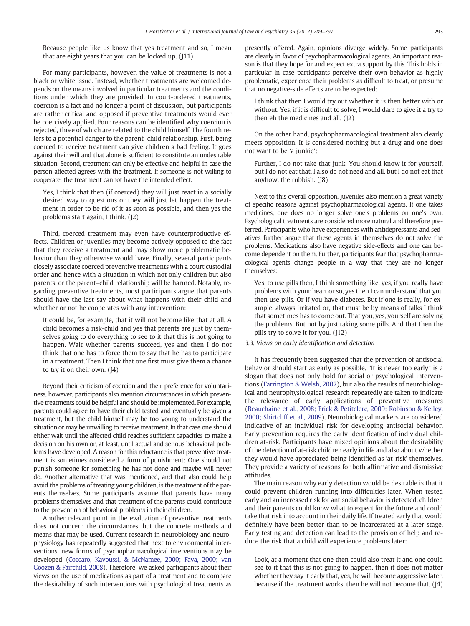Because people like us know that yes treatment and so, I mean that are eight years that you can be locked up.  $(111)$ 

For many participants, however, the value of treatments is not a black or white issue. Instead, whether treatments are welcomed depends on the means involved in particular treatments and the conditions under which they are provided. In court-ordered treatments, coercion is a fact and no longer a point of discussion, but participants are rather critical and opposed if preventive treatments would ever be coercively applied. Four reasons can be identified why coercion is rejected, three of which are related to the child himself. The fourth refers to a potential danger to the parent–child relationship. First, being coerced to receive treatment can give children a bad feeling. It goes against their will and that alone is sufficient to constitute an undesirable situation. Second, treatment can only be effective and helpful in case the person affected agrees with the treatment. If someone is not willing to cooperate, the treatment cannot have the intended effect.

Yes, I think that then (if coerced) they will just react in a socially desired way to questions or they will just let happen the treatment in order to be rid of it as soon as possible, and then yes the problems start again, I think. (J2)

Third, coerced treatment may even have counterproductive effects. Children or juveniles may become actively opposed to the fact that they receive a treatment and may show more problematic behavior than they otherwise would have. Finally, several participants closely associate coerced preventive treatments with a court custodial order and hence with a situation in which not only children but also parents, or the parent–child relationship will be harmed. Notably, regarding preventive treatments, most participants argue that parents should have the last say about what happens with their child and whether or not he cooperates with any intervention:

It could be, for example, that it will not become like that at all. A child becomes a risk-child and yes that parents are just by themselves going to do everything to see to it that this is not going to happen. Wait whether parents succeed, yes and then I do not think that one has to force them to say that he has to participate in a treatment. Then I think that one first must give them a chance to try it on their own. (J4)

Beyond their criticism of coercion and their preference for voluntariness, however, participants also mention circumstances in which preventive treatments could be helpful and should be implemented. For example, parents could agree to have their child tested and eventually be given a treatment, but the child himself may be too young to understand the situation or may be unwilling to receive treatment. In that case one should either wait until the affected child reaches sufficient capacities to make a decision on his own or, at least, until actual and serious behavioral problems have developed. A reason for this reluctance is that preventive treatment is sometimes considered a form of punishment: One should not punish someone for something he has not done and maybe will never do. Another alternative that was mentioned, and that also could help avoid the problems of treating young children, is the treatment of the parents themselves. Some participants assume that parents have many problems themselves and that treatment of the parents could contribute to the prevention of behavioral problems in their children.

Another relevant point in the evaluation of preventive treatments does not concern the circumstances, but the concrete methods and means that may be used. Current research in neurobiology and neurophysiology has repeatedly suggested that next to environmental interventions, new forms of psychopharmacological interventions may be developed [\(Coccaro, Kavoussi, & McNamee, 2000; Fava, 2000; van](#page-7-0) [Goozen & Fairchild, 2008\)](#page-7-0). Therefore, we asked participants about their views on the use of medications as part of a treatment and to compare the desirability of such interventions with psychological treatments as presently offered. Again, opinions diverge widely. Some participants are clearly in favor of psychopharmacological agents. An important reason is that they hope for and expect extra support by this. This holds in particular in case participants perceive their own behavior as highly problematic, experience their problems as difficult to treat, or presume that no negative-side effects are to be expected:

I think that then I would try out whether it is then better with or without. Yes, if it is difficult to solve, I would dare to give it a try to then eh the medicines and all.  $(12)$ 

On the other hand, psychopharmacological treatment also clearly meets opposition. It is considered nothing but a drug and one does not want to be 'a junkie':

Further, I do not take that junk. You should know it for yourself, but I do not eat that, I also do not need and all, but I do not eat that anyhow, the rubbish. (J8)

Next to this overall opposition, juveniles also mention a great variety of specific reasons against psychopharmacological agents. If one takes medicines, one does no longer solve one's problems on one's own. Psychological treatments are considered more natural and therefore preferred. Participants who have experiences with antidepressants and sedatives further argue that these agents in themselves do not solve the problems. Medications also have negative side-effects and one can become dependent on them. Further, participants fear that psychopharmacological agents change people in a way that they are no longer themselves:

Yes, to use pills then, I think something like, yes, if you really have problems with your heart or so, yes then I can understand that you then use pills. Or if you have diabetes. But if one is really, for example, always irritated or, that must be by means of talks I think that sometimes has to come out. That you, yes, yourself are solving the problems. But not by just taking some pills. And that then the pills try to solve it for you. (J12)

# 3.3. Views on early identification and detection

It has frequently been suggested that the prevention of antisocial behavior should start as early as possible. "It is never too early" is a slogan that does not only hold for social or psychological interventions [\(Farrington & Welsh, 2007](#page-7-0)), but also the results of neurobiological and neurophysiological research repeatedly are taken to indicate the relevance of early applications of preventive measures [\(Beauchaine et al., 2008; Frick & Petitclerc, 2009; Robinson & Kelley,](#page-7-0) [2000; Shirtcliff et al., 2009\)](#page-7-0). Neurobiological markers are considered indicative of an individual risk for developing antisocial behavior. Early prevention requires the early identification of individual children at-risk. Participants have mixed opinions about the desirability of the detection of at-risk children early in life and also about whether they would have appreciated being identified as 'at-risk' themselves. They provide a variety of reasons for both affirmative and dismissive attitudes.

The main reason why early detection would be desirable is that it could prevent children running into difficulties later. When tested early and an increased risk for antisocial behavior is detected, children and their parents could know what to expect for the future and could take that risk into account in their daily life. If treated early that would definitely have been better than to be incarcerated at a later stage. Early testing and detection can lead to the provision of help and reduce the risk that a child will experience problems later:

Look, at a moment that one then could also treat it and one could see to it that this is not going to happen, then it does not matter whether they say it early that, yes, he will become aggressive later, because if the treatment works, then he will not become that. (J4)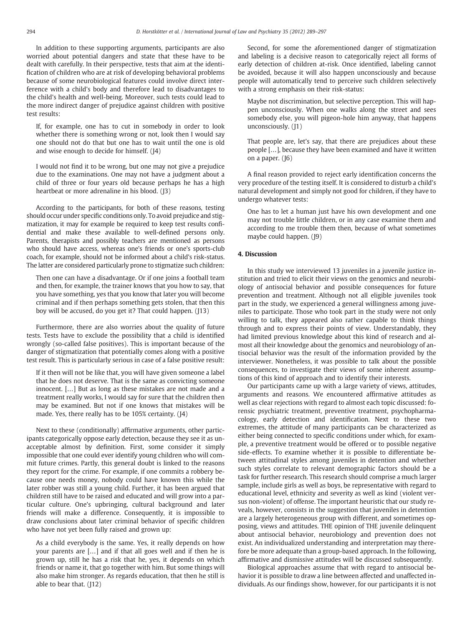In addition to these supporting arguments, participants are also worried about potential dangers and state that these have to be dealt with carefully. In their perspective, tests that aim at the identification of children who are at risk of developing behavioral problems because of some neurobiological features could involve direct interference with a child's body and therefore lead to disadvantages to the child's health and well-being. Moreover, such tests could lead to the more indirect danger of prejudice against children with positive test results:

If, for example, one has to cut in somebody in order to look whether there is something wrong or not, look then I would say one should not do that but one has to wait until the one is old and wise enough to decide for himself. (J4)

I would not find it to be wrong, but one may not give a prejudice due to the examinations. One may not have a judgment about a child of three or four years old because perhaps he has a high heartbeat or more adrenaline in his blood. (J3)

According to the participants, for both of these reasons, testing should occur under specific conditions only. To avoid prejudice and stigmatization, it may for example be required to keep test results confidential and make these available to well-defined persons only. Parents, therapists and possibly teachers are mentioned as persons who should have access, whereas one's friends or one's sports-club coach, for example, should not be informed about a child's risk-status. The latter are considered particularly prone to stigmatize such children:

Then one can have a disadvantage. Or if one joins a football team and then, for example, the trainer knows that you how to say, that you have something, yes that you know that later you will become criminal and if then perhaps something gets stolen, that then this boy will be accused, do you get it? That could happen. (J13)

Furthermore, there are also worries about the quality of future tests. Tests have to exclude the possibility that a child is identified wrongly (so-called false positives). This is important because of the danger of stigmatization that potentially comes along with a positive test result. This is particularly serious in case of a false positive result:

If it then will not be like that, you will have given someone a label that he does not deserve. That is the same as convicting someone innocent. […] But as long as these mistakes are not made and a treatment really works, I would say for sure that the children then may be examined. But not if one knows that mistakes will be made. Yes, there really has to be 105% certainty. (J4)

Next to these (conditionally) affirmative arguments, other participants categorically oppose early detection, because they see it as unacceptable almost by definition. First, some consider it simply impossible that one could ever identify young children who will commit future crimes. Partly, this general doubt is linked to the reasons they report for the crime. For example, if one commits a robbery because one needs money, nobody could have known this while the later robber was still a young child. Further, it has been argued that children still have to be raised and educated and will grow into a particular culture. One's upbringing, cultural background and later friends will make a difference. Consequently, it is impossible to draw conclusions about later criminal behavior of specific children who have not yet been fully raised and grown up:

As a child everybody is the same. Yes, it really depends on how your parents are […] and if that all goes well and if then he is grown up, still he has a risk that he, yes, it depends on which friends or name it, that go together with him. But some things will also make him stronger. As regards education, that then he still is able to bear that. (J12)

Second, for some the aforementioned danger of stigmatization and labeling is a decisive reason to categorically reject all forms of early detection of children at-risk. Once identified, labeling cannot be avoided, because it will also happen unconsciously and because people will automatically tend to perceive such children selectively with a strong emphasis on their risk-status:

Maybe not discrimination, but selective perception. This will happen unconsciously. When one walks along the street and sees somebody else, you will pigeon-hole him anyway, that happens unconsciously. (J1)

That people are, let's say, that there are prejudices about these people […], because they have been examined and have it written on a paper. (J6)

A final reason provided to reject early identification concerns the very procedure of the testing itself. It is considered to disturb a child's natural development and simply not good for children, if they have to undergo whatever tests:

One has to let a human just have his own development and one may not trouble little children, or in any case examine them and according to me trouble them then, because of what sometimes maybe could happen. (J9)

# 4. Discussion

In this study we interviewed 13 juveniles in a juvenile justice institution and tried to elicit their views on the genomics and neurobiology of antisocial behavior and possible consequences for future prevention and treatment. Although not all eligible juveniles took part in the study, we experienced a general willingness among juveniles to participate. Those who took part in the study were not only willing to talk, they appeared also rather capable to think things through and to express their points of view. Understandably, they had limited previous knowledge about this kind of research and almost all their knowledge about the genomics and neurobiology of antisocial behavior was the result of the information provided by the interviewer. Nonetheless, it was possible to talk about the possible consequences, to investigate their views of some inherent assumptions of this kind of approach and to identify their interests.

Our participants came up with a large variety of views, attitudes, arguments and reasons. We encountered affirmative attitudes as well as clear rejections with regard to almost each topic discussed: forensic psychiatric treatment, preventive treatment, psychopharmacology, early detection and identification. Next to these two extremes, the attitude of many participants can be characterized as either being connected to specific conditions under which, for example, a preventive treatment would be offered or to possible negative side-effects. To examine whether it is possible to differentiate between attitudinal styles among juveniles in detention and whether such styles correlate to relevant demographic factors should be a task for further research. This research should comprise a much larger sample, include girls as well as boys, be representative with regard to educational level, ethnicity and severity as well as kind (violent versus non-violent) of offense. The important heuristic that our study reveals, however, consists in the suggestion that juveniles in detention are a largely heterogeneous group with different, and sometimes opposing, views and attitudes. THE opinion of THE juvenile delinquent about antisocial behavior, neurobiology and prevention does not exist. An individualized understanding and interpretation may therefore be more adequate than a group-based approach. In the following, affirmative and dismissive attitudes will be discussed subsequently.

Biological approaches assume that with regard to antisocial behavior it is possible to draw a line between affected and unaffected individuals. As our findings show, however, for our participants it is not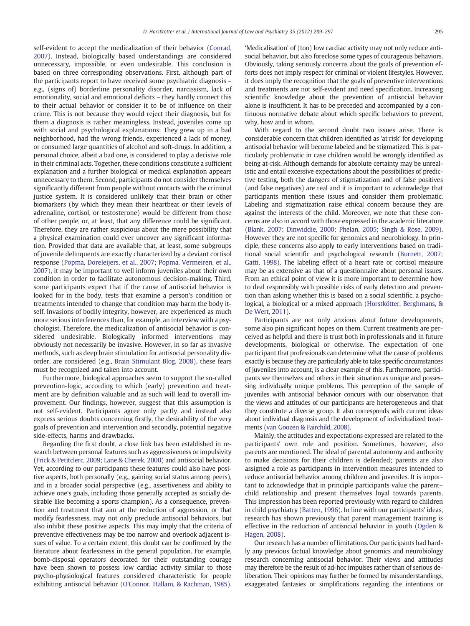self-evident to accept the medicalization of their behavior ([Conrad,](#page-7-0) [2007\)](#page-7-0). Instead, biologically based understandings are considered unnecessary, impossible, or even undesirable. This conclusion is based on three corresponding observations. First, although part of the participants report to have received some psychiatric diagnosis – e.g., (signs of) borderline personality disorder, narcissism, lack of emotionality, social and emotional deficits – they hardly connect this to their actual behavior or consider it to be of influence on their crime. This is not because they would reject their diagnosis, but for them a diagnosis is rather meaningless. Instead, juveniles come up with social and psychological explanations: They grew up in a bad neighborhood, had the wrong friends, experienced a lack of money, or consumed large quantities of alcohol and soft-drugs. In addition, a personal choice, albeit a bad one, is considered to play a decisive role in their criminal acts. Together, these conditions constitute a sufficient explanation and a further biological or medical explanation appears unnecessary to them. Second, participants do not consider themselves significantly different from people without contacts with the criminal justice system. It is considered unlikely that their brain or other biomarkers (by which they mean their heartbeat or their levels of adrenaline, cortisol, or testosterone) would be different from those of other people, or, at least, that any difference could be significant. Therefore, they are rather suspicious about the mere possibility that a physical examination could ever uncover any significant information. Provided that data are available that, at least, some subgroups of juvenile delinquents are exactly characterized by a deviant cortisol response [\(Popma, Doreleijers, et al., 2007; Popma, Vermeiren, et al.,](#page-8-0) [2007\)](#page-8-0), it may be important to well inform juveniles about their own condition in order to facilitate autonomous decision-making. Third, some participants expect that if the cause of antisocial behavior is looked for in the body, tests that examine a person's condition or treatments intended to change that condition may harm the body itself. Invasions of bodily integrity, however, are experienced as much more serious interferences than, for example, an interview with a psychologist. Therefore, the medicalization of antisocial behavior is considered undesirable. Biologically informed interventions may obviously not necessarily be invasive. However, in so far as invasive methods, such as deep brain stimulation for antisocial personality disorder, are considered (e.g., [Brain Stimulant Blog, 2008](#page-7-0)), these fears must be recognized and taken into account.

Furthermore, biological approaches seem to support the so-called prevention-logic, according to which (early) prevention and treatment are by definition valuable and as such will lead to overall improvement. Our findings, however, suggest that this assumption is not self-evident. Participants agree only partly and instead also express serious doubts concerning firstly, the desirability of the very goals of prevention and intervention and secondly, potential negative side-effects, harms and drawbacks.

Regarding the first doubt, a close link has been established in research between personal features such as aggressiveness or impulsivity [\(Frick & Petitclerc, 2009; Lane & Cherek, 2000](#page-7-0)) and antisocial behavior. Yet, according to our participants these features could also have positive aspects, both personally (e.g., gaining social status among peers), and in a broader social perspective (e.g., assertiveness and ability to achieve one's goals, including those generally accepted as socially desirable like becoming a sports champion). As a consequence, prevention and treatment that aim at the reduction of aggression, or that modify fearlessness, may not only preclude antisocial behaviors, but also inhibit these positive aspects. This may imply that the criteria of preventive effectiveness may be too narrow and overlook adjacent issues of value. To a certain extent, this doubt can be confirmed by the literature about fearlessness in the general population. For example, bomb-disposal operators decorated for their outstanding courage have been shown to possess low cardiac activity similar to those psycho-physiological features considered characteristic for people exhibiting antisocial behavior [\(O'Connor, Hallam, & Rachman, 1985](#page-8-0)).

'Medicalisation' of (too) low cardiac activity may not only reduce antisocial behavior, but also foreclose some types of courageous behaviors. Obviously, taking seriously concerns about the goals of prevention efforts does not imply respect for criminal or violent lifestyles. However, it does imply the recognition that the goals of preventive interventions and treatments are not self-evident and need specification. Increasing scientific knowledge about the prevention of antisocial behavior alone is insufficient. It has to be preceded and accompanied by a continuous normative debate about which specific behaviors to prevent, why, how and in whom.

With regard to the second doubt two issues arise. There is considerable concern that children identified as 'at risk' for developing antisocial behavior will become labeled and be stigmatized. This is particularly problematic in case children would be wrongly identified as being at-risk. Although demands for absolute certainty may be unrealistic and entail excessive expectations about the possibilities of predictive testing, both the dangers of stigmatization and of false positives (and false negatives) are real and it is important to acknowledge that participants mention these issues and consider them problematic. Labeling and stigmatization raise ethical concern because they are against the interests of the child. Moreover, we note that these concerns are also in accord with those expressed in the academic literature [\(Blank, 2007; Dinwiddie, 2000; Phelan, 2005; Singh & Rose, 2009](#page-7-0)). However they are not specific for genomics and neurobiology. In principle, these concerns also apply to early interventions based on traditional social scientific and psychological research [\(Burnett, 2007;](#page-7-0) [Gatti, 1998](#page-7-0)). The labeling effect of a heart rate or cortisol measure may be as extensive as that of a questionnaire about personal issues. From an ethical point of view it is more important to determine how to deal responsibly with possible risks of early detection and prevention than asking whether this is based on a social scientific, a psychological, a biological or a mixed approach [\(Horstkötter, Berghmans, &](#page-8-0) [De Wert, 2011\)](#page-8-0).

Participants are not only anxious about future developments, some also pin significant hopes on them. Current treatments are perceived as helpful and there is trust both in professionals and in future developments, biological or otherwise. The expectation of one participant that professionals can determine what the cause of problems exactly is because they are particularly able to take specific circumstances of juveniles into account, is a clear example of this. Furthermore, participants see themselves and others in their situation as unique and possessing individually unique problems. This perception of the sample of juveniles with antisocial behavior concurs with our observation that the views and attitudes of our participants are heterogeneous and that they constitute a diverse group. It also corresponds with current ideas about individual diagnosis and the development of individualized treatments [\(van Goozen & Fairchild, 2008](#page-8-0)).

Mainly, the attitudes and expectations expressed are related to the participants' own role and position. Sometimes, however, also parents are mentioned. The ideal of parental autonomy and authority to make decisions for their children is defended; parents are also assigned a role as participants in intervention measures intended to reduce antisocial behavior among children and juveniles. It is important to acknowledge that in principle participants value the parent– child relationship and present themselves loyal towards parents. This impression has been reported previously with regard to children in child psychiatry ([Batten, 1996\)](#page-7-0). In line with our participants' ideas, research has shown previously that parent management training is effective in the reduction of antisocial behavior in youth [\(Ogden &](#page-8-0) [Hagen, 2008](#page-8-0)).

Our research has a number of limitations. Our participants had hardly any previous factual knowledge about genomics and neurobiology research concerning antisocial behavior. Their views and attitudes may therefore be the result of ad-hoc impulses rather than of serious deliberation. Their opinions may further be formed by misunderstandings, exaggerated fantasies or simplifications regarding the intentions or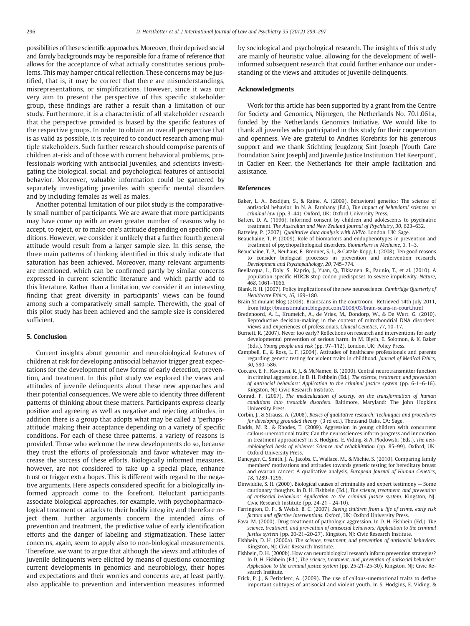<span id="page-7-0"></span>possibilities of these scientific approaches. Moreover, their deprived social and family backgrounds may be responsible for a frame of reference that allows for the acceptance of what actually constitutes serious problems. This may hamper critical reflection. These concerns may be justified, that is, it may be correct that there are misunderstandings, misrepresentations, or simplifications. However, since it was our very aim to present the perspective of this specific stakeholder group, these findings are rather a result than a limitation of our study. Furthermore, it is a characteristic of all stakeholder research that the perspective provided is biased by the specific features of the respective groups. In order to obtain an overall perspective that is as valid as possible, it is required to conduct research among multiple stakeholders. Such further research should comprise parents of children at-risk and of those with current behavioral problems, professionals working with antisocial juveniles, and scientists investigating the biological, social, and psychological features of antisocial behavior. Moreover, valuable information could be garnered by separately investigating juveniles with specific mental disorders and by including females as well as males.

Another potential limitation of our pilot study is the comparatively small number of participants. We are aware that more participants may have come up with an even greater number of reasons why to accept, to reject, or to make one's attitude depending on specific conditions. However, we consider it unlikely that a further fourth general attitude would result from a larger sample size. In this sense, the three main patterns of thinking identified in this study indicate that saturation has been achieved. Moreover, many relevant arguments are mentioned, which can be confirmed partly by similar concerns expressed in current scientific literature and which partly add to this literature. Rather than a limitation, we consider it an interesting finding that great diversity in participants' views can be found among such a comparatively small sample. Therewith, the goal of this pilot study has been achieved and the sample size is considered sufficient.

# 5. Conclusion

Current insights about genomic and neurobiological features of children at risk for developing antisocial behavior trigger great expectations for the development of new forms of early detection, prevention, and treatment. In this pilot study we explored the views and attitudes of juvenile delinquents about these new approaches and their potential consequences. We were able to identity three different patterns of thinking about these matters. Participants express clearly positive and agreeing as well as negative and rejecting attitudes, in addition there is a group that adopts what may be called a 'perhapsattitude' making their acceptance depending on a variety of specific conditions. For each of these three patterns, a variety of reasons is provided. Those who welcome the new developments do so, because they trust the efforts of professionals and favor whatever may increase the success of these efforts. Biologically informed measures, however, are not considered to take up a special place, enhance trust or trigger extra hopes. This is different with regard to the negative arguments. Here aspects considered specific for a biologically informed approach come to the forefront. Reluctant participants associate biological approaches, for example, with psychopharmacological treatment or attacks to their bodily integrity and therefore reject them. Further arguments concern the intended aims of prevention and treatment, the predictive value of early identification efforts and the danger of labeling and stigmatization. These latter concerns, again, seem to apply also to non-biological measurements. Therefore, we want to argue that although the views and attitudes of juvenile delinquents were elicited by means of questions concerning current developments in genomics and neurobiology, their hopes and expectations and their worries and concerns are, at least partly, also applicable to prevention and intervention measures informed

by sociological and psychological research. The insights of this study are mainly of heuristic value, allowing for the development of wellinformed subsequent research that could further enhance our understanding of the views and attitudes of juvenile delinquents.

# Acknowledgments

Work for this article has been supported by a grant from the Centre for Society and Genomics, Nijmegen, the Netherlands No. 70.1.061a, funded by the Netherlands Genomics Initiative. We would like to thank all juveniles who participated in this study for their cooperation and openness. We are grateful to Andries Korebrits for his generous support and we thank Stichting Jeugdzorg Sint Joseph [Youth Care Foundation Saint Joseph] and Juvenile Justice Institution 'Het Keerpunt', in Cadier en Keer, the Netherlands for their ample facilitation and assistance.

# References

- Baker, L. A., Bezdijan, S., & Raine, A. (2009). Behavioral genetics: The science of antisocial behavior. In N. A. Farahany (Ed.), The impact of behavioral sciences on criminal law (pp. 3–44). Oxford, UK: Oxford University Press.
- Batten, D. A. (1996). Informed consent by children and adolescents to psychiatric treatment. The Australian and New Zealand Journal of Psychiatry, 30, 623–632.
- Batzeley, P. (2007). Qualitative data analysis with NViVo. London, UK: Sage. Beauchaine, T. P. (2009). Role of biomarkers and endophenotypes in prevention and
- treatment of psychopathological disorders. Biomarkers in Medicine, 3, 1–3.
- Beauchaine, T. P., Neuhaus, E., Brenner, S. L., & Gatzke-Kopp, L. (2008). Ten good reasons to consider biological processes in prevention and intervention research. Development and Psychopathology, 20, 745–774.
- Bevilacqua, L., Doly, S., Kaprio, J., Yuan, Q., Tikkanen, R., Paunio, T., et al. (2010). A population-specific HTR2B stop codon predisposes to severe impulsivity. Nature, 468, 1061–1066.
- Blank, R. H. (2007). Policy implications of the new neuroscience. Cambridge Quarterly of Healthcare Ethics, 16, 169–180.
- Brain Stimulant Blog (2008). Brainscans in the courtroom. Retrieved 14th July 2011, from <http://brainstimulant.blogspot.com/2008/03/brain-scans-in-court.html>
- Bredenoord, A. L., Krumeich, A., de Vries, M., Dondorp, W., & De Wert, G. (2010). Reproductive decision-making in the context of mitochondrial DNA disorders: Views and experiences of professionals. Clinical Genetics, 77, 10–17.
- Burnett, R. (2007). Never too early? Reflections on research and interventions for early developmental prevention of serious harm. In M. Blyth, E. Solomon, & K. Baker (Eds.), Young people and risk (pp. 97–112). London, UK: Policy Press.
- Campbell, E., & Ross, L. F. (2004). Attitudes of healthcare professionals and parents regarding genetic testing for violent traits in childhood. Journal of Medical Ethics, 30, 580–586.
- Coccaro, E. F., Kavoussi, R. J., & McNamee, B. (2000). Central neurotransmitter function in criminal aggression. In D. H. Fishbein (Ed.), The science, treatment, and prevention of antisocial behaviors: Application to the criminal justice system (pp. 6-1–6-16). Kingston, NJ: Civic Research Institute.
- Conrad, P. (2007). The medicalization of society, on the transformation of human conditions into treatable disorders. Baltimore, Maryland: The John Hopkins University Press.
- Corbin, J., & Strauss, A. (2008). Basics of qualitative research: Techniques and procedures for developing grounded theory (3 rd ed.). Thousand Oaks, CA: Sage.
- Dadds, M. R., & Rhodes, T. (2009). Aggression in young children with concurrent callous-unemotional traits: Can the neurosciences inform progress and innovation in treatment approaches? In S. Hodgins, E. Viding, & A. Plodowski (Eds.), The neurobiological basis of violence: Science and rehabilitation (pp. 85–99). Oxford, UK: Oxford University Press.
- Dancyger, C., Smith, J. A., Jacobs, C., Wallace, M., & Michie, S. (2010). Comparing family members' motivations and attitudes towards genetic testing for hereditary breast and ovarian cancer: A qualitative analysis. European Journal of Human Genetics, 18, 1289–1295.
- Dinwiddie, S. H. (2000). Biological causes of criminality and expert testimony Some cautionary thoughts. In D. H. Fishbein (Ed.), The science, treatment, and prevention of antisocial behaviors: Application to the criminal justice system. Kingston, NJ: Civic Research Institute (pp. 24-21 - 24-10).
- Farrington, D. P., & Welsh, B. C. (2007). Saving children from a life of crime, early risk factors and effective interventions. Oxford, UK: Oxford University Press.
- Fava, M. (2000). Drug treatment of pathologic aggression. In D. H. Fishbein (Ed.), The science, treatment, and prevention of antisocial behaviors: Application to the criminal justice system (pp. 20-21-20-27). Kingston, NJ: Civic Research Institute.
- Fishbein, D. H. (2000a). The science, treatment, and prevention of antisocial behaviors. Kingston, NJ: Civic Research Institute.
- Fishbein, D. H. (2000b). How can neurobiological research inform prevention strategies? In D. H. Fishbein (Ed.), The science, treatment, and prevention of antisocial behaviors: Application to the criminal justice system (pp. 25-21–25-30). Kingston, NJ: Civic Research Institute.
- Frick, P. J., & Petitclerc, A. (2009). The use of callous-unemotional traits to define important subtypes of antisocial and violent youth. In S. Hodgins, E. Viding, &